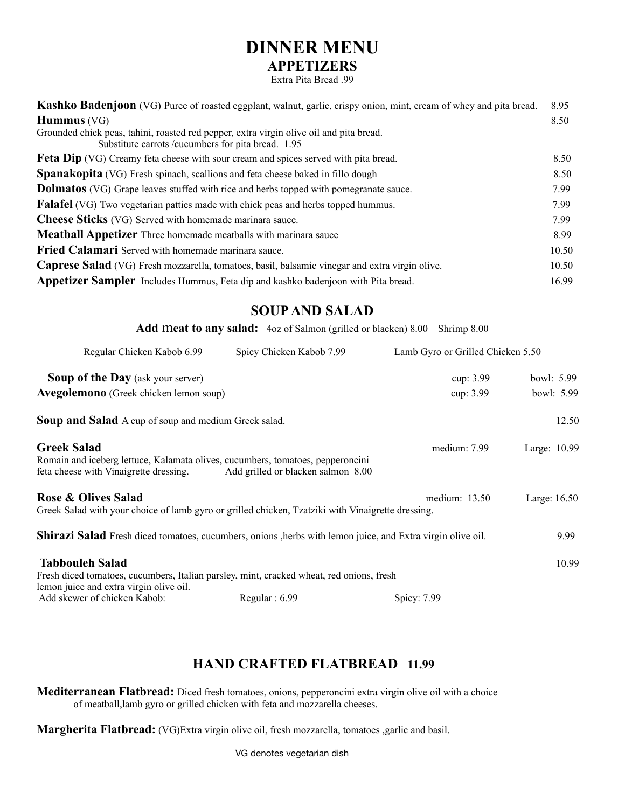# **DINNER MENU**

# **APPETIZERS**

Extra Pita Bread .99

| <b>Kashko Badenjoon</b> (VG) Puree of roasted eggplant, walnut, garlic, crispy onion, mint, cream of whey and pita bread.                     | 8.95  |
|-----------------------------------------------------------------------------------------------------------------------------------------------|-------|
| $Hummus (VG)$                                                                                                                                 | 8.50  |
| Grounded chick peas, tahini, roasted red pepper, extra virgin olive oil and pita bread.<br>Substitute carrots /cucumbers for pita bread. 1.95 |       |
| <b>Feta Dip</b> (VG) Creamy feta cheese with sour cream and spices served with pita bread.                                                    | 8.50  |
| <b>Spanakopita</b> (VG) Fresh spinach, scallions and feta cheese baked in fillo dough                                                         | 8.50  |
| <b>Dolmatos</b> (VG) Grape leaves stuffed with rice and herbs topped with pomegranate sauce.                                                  | 7.99  |
| <b>Falafel</b> (VG) Two vegetarian patties made with chick peas and herbs topped hummus.                                                      | 7.99  |
| <b>Cheese Sticks</b> (VG) Served with homemade marinara sauce.                                                                                | 7.99  |
| <b>Meatball Appetizer</b> Three homemade meatballs with marinara sauce                                                                        | 8.99  |
| <b>Fried Calamari</b> Served with homemade marinara sauce.                                                                                    | 10.50 |
| <b>Caprese Salad</b> (VG) Fresh mozzarella, tomatoes, basil, balsamic vinegar and extra virgin olive.                                         | 10.50 |
| Appetizer Sampler Includes Hummus, Feta dip and kashko badenjoon with Pita bread.                                                             | 16.99 |

# **SOUP AND SALAD**

**Add** m**eat to any salad:** 4oz of Salmon (grilled or blacken) 8.00 Shrimp 8.00

| Regular Chicken Kabob 6.99                                                                                                                     | Spicy Chicken Kabob 7.99           | Lamb Gyro or Grilled Chicken 5.50 |                |
|------------------------------------------------------------------------------------------------------------------------------------------------|------------------------------------|-----------------------------------|----------------|
| <b>Soup of the Day</b> (ask your server)                                                                                                       |                                    | cup: 3.99                         | bowl: 5.99     |
| Avegolemono (Greek chicken lemon soup)                                                                                                         |                                    | cup: 3.99                         | bowl: 5.99     |
| <b>Soup and Salad</b> A cup of soup and medium Greek salad.                                                                                    |                                    |                                   | 12.50          |
| <b>Greek Salad</b><br>Romain and iceberg lettuce, Kalamata olives, cucumbers, tomatoes, pepperoncini<br>feta cheese with Vinaigrette dressing. | Add grilled or blacken salmon 8.00 | medium: $7.99$                    | Large: 10.99   |
| Rose & Olives Salad<br>Greek Salad with your choice of lamb gyro or grilled chicken, Tzatziki with Vinaigrette dressing.                       |                                    | medium: $13.50$                   | Large: $16.50$ |
| <b>Shirazi Salad</b> Fresh diced tomatoes, cucumbers, onions , herbs with lemon juice, and Extra virgin olive oil.                             |                                    |                                   | 9.99           |
| <b>Tabbouleh Salad</b><br>Fresh diced tomatoes, cucumbers, Italian parsley, mint, cracked wheat, red onions, fresh                             |                                    |                                   | 10.99          |
| lemon juice and extra virgin olive oil.<br>Add skewer of chicken Kabob:                                                                        | Regular : $6.99$                   | Spicy: 7.99                       |                |

# **HAND CRAFTED FLATBREAD 11.99**

**Mediterranean Flatbread:** Diced fresh tomatoes, onions, pepperoncini extra virgin olive oil with a choice of meatball,lamb gyro or grilled chicken with feta and mozzarella cheeses.

**Margherita Flatbread:** (VG)Extra virgin olive oil, fresh mozzarella, tomatoes ,garlic and basil.

VG denotes vegetarian dish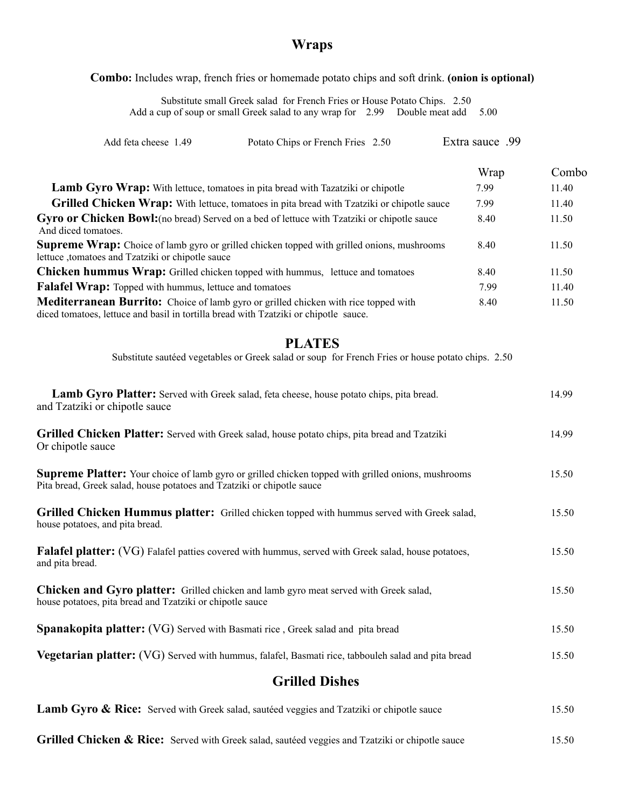# **Wraps**

**Combo:** Includes wrap, french fries or homemade potato chips and soft drink. **(onion is optional)** 

 Substitute small Greek salad for French Fries or House Potato Chips. 2.50 Add a cup of soup or small Greek salad to any wrap for 2.99 Double meat add 5.00

| Add feta cheese 1.49                                                                 | Potato Chips or French Fries 2.50                                                                 | Extra sauce .99 |       |
|--------------------------------------------------------------------------------------|---------------------------------------------------------------------------------------------------|-----------------|-------|
|                                                                                      |                                                                                                   | Wrap            | Combo |
|                                                                                      | <b>Lamb Gyro Wrap:</b> With lettuce, tomatoes in pita bread with Tazatziki or chipotle            | 7.99            | 11.40 |
|                                                                                      | <b>Grilled Chicken Wrap:</b> With lettuce, tomatoes in pita bread with Tzatziki or chipotle sauce | 7.99            | 11.40 |
| And diced tomatoes.                                                                  | Gyro or Chicken Bowl: (no bread) Served on a bed of lettuce with Tzatziki or chipotle sauce       | 8.40            | 11.50 |
| lettuce, tomatoes and Tzatziki or chipotle sauce                                     | <b>Supreme Wrap:</b> Choice of lamb gyro or grilled chicken topped with grilled onions, mushrooms | 8.40            | 11.50 |
|                                                                                      | <b>Chicken hummus Wrap:</b> Grilled chicken topped with hummus, lettuce and tomatoes              | 8.40            | 11.50 |
| <b>Falafel Wrap:</b> Topped with hummus, lettuce and tomatoes                        |                                                                                                   | 799             | 11.40 |
| diced tomatoes, lettuce and basil in tortilla bread with Tzatziki or chipotle sauce. | <b>Mediterranean Burrito:</b> Choice of lamb gyro or grilled chicken with rice topped with        | 8.40            | 11.50 |

## **PLATES**

Substitute sautéed vegetables or Greek salad or soup for French Fries or house potato chips. 2.50

| <b>Lamb Gyro Platter:</b> Served with Greek salad, feta cheese, house potato chips, pita bread.<br>and Tzatziki or chipotle sauce                                                   | 14.99 |
|-------------------------------------------------------------------------------------------------------------------------------------------------------------------------------------|-------|
| <b>Grilled Chicken Platter:</b> Served with Greek salad, house potato chips, pita bread and Tzatziki<br>Or chipotle sauce                                                           | 14.99 |
| <b>Supreme Platter:</b> Your choice of lamb gyro or grilled chicken topped with grilled onions, mushrooms<br>Pita bread, Greek salad, house potatoes and Tzatziki or chipotle sauce | 15.50 |
| <b>Grilled Chicken Hummus platter:</b> Grilled chicken topped with hummus served with Greek salad,<br>house potatoes, and pita bread.                                               | 15.50 |
| <b>Falafel platter:</b> (VG) Falafel patties covered with hummus, served with Greek salad, house potatoes,<br>and pita bread.                                                       | 15.50 |
| Chicken and Gyro platter: Grilled chicken and lamb gyro meat served with Greek salad,<br>house potatoes, pita bread and Tzatziki or chipotle sauce                                  | 15.50 |
| <b>Spanakopita platter:</b> (VG) Served with Basmati rice, Greek salad and pita bread                                                                                               | 15.50 |
| <b>Vegetarian platter:</b> (VG) Served with hummus, falafel, Basmati rice, tabbouleh salad and pita bread                                                                           | 15.50 |
| <b>Grilled Dishes</b>                                                                                                                                                               |       |

| <b>Lamb Gyro &amp; Rice:</b> Served with Greek salad, sautéed veggies and Tzatziki or chipotle sauce | 15.50 |
|------------------------------------------------------------------------------------------------------|-------|
| Grilled Chicken & Rice: Served with Greek salad, sautéed veggies and Tzatziki or chipotle sauce      | 15.50 |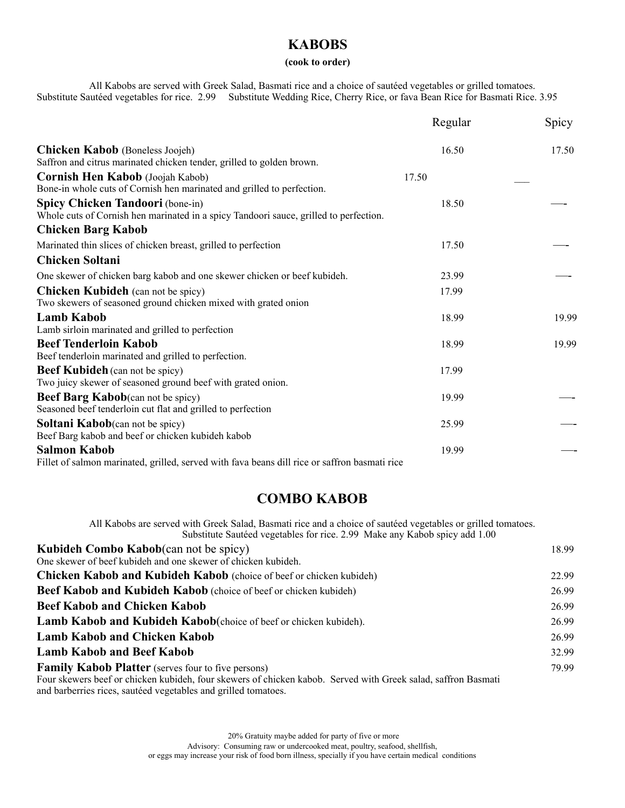## **KABOBS**

#### **(cook to order)**

All Kabobs are served with Greek Salad, Basmati rice and a choice of sautéed vegetables or grilled tomatoes. Substitute Sautéed vegetables for rice. 2.99 Substitute Wedding Rice, Cherry Rice, or fava Bean Rice for Basmati Rice. 3.95

|                                                                                                                                                                                                                                                           | Regular | Spicy |
|-----------------------------------------------------------------------------------------------------------------------------------------------------------------------------------------------------------------------------------------------------------|---------|-------|
| <b>Chicken Kabob</b> (Boneless Joojeh)<br>Saffron and citrus marinated chicken tender, grilled to golden brown.                                                                                                                                           | 16.50   | 17.50 |
| <b>Cornish Hen Kabob</b> (Joojah Kabob)<br>Bone-in whole cuts of Cornish hen marinated and grilled to perfection.                                                                                                                                         | 17.50   |       |
| <b>Spicy Chicken Tandoori</b> (bone-in)<br>Whole cuts of Cornish hen marinated in a spicy Tandoori sauce, grilled to perfection.<br><b>Chicken Barg Kabob</b>                                                                                             | 18.50   |       |
| Marinated thin slices of chicken breast, grilled to perfection                                                                                                                                                                                            | 17.50   |       |
| <b>Chicken Soltani</b>                                                                                                                                                                                                                                    |         |       |
| One skewer of chicken barg kabob and one skewer chicken or beef kubideh.                                                                                                                                                                                  | 23.99   |       |
| <b>Chicken Kubideh</b> (can not be spicy)<br>Two skewers of seasoned ground chicken mixed with grated onion                                                                                                                                               | 17.99   |       |
| <b>Lamb Kabob</b><br>Lamb sirloin marinated and grilled to perfection                                                                                                                                                                                     | 18.99   | 19.99 |
| <b>Beef Tenderloin Kabob</b><br>Beef tenderloin marinated and grilled to perfection.                                                                                                                                                                      | 18.99   | 19.99 |
| <b>Beef Kubideh</b> (can not be spicy)<br>Two juicy skewer of seasoned ground beef with grated onion.                                                                                                                                                     | 17.99   |       |
| <b>Beef Barg Kabob</b> (can not be spicy)<br>Seasoned beef tenderloin cut flat and grilled to perfection                                                                                                                                                  | 19.99   |       |
| <b>Soltani Kabob</b> (can not be spicy)<br>Beef Barg kabob and beef or chicken kubideh kabob                                                                                                                                                              | 25.99   |       |
| <b>Salmon Kabob</b><br>$\mathcal{L}$ and the set of the set of the set of the set of the set of the set of the set of the set of the set of the set of the set of the set of the set of the set of the set of the set of the set of the set of the set of | 19.99   |       |

Fillet of salmon marinated, grilled, served with fava beans dill rice or saffron basmati rice

# **COMBO KABOB**

All Kabobs are served with Greek Salad, Basmati rice and a choice of sautéed vegetables or grilled tomatoes. Substitute Sautéed vegetables for rice. 2.99 Make any Kabob spicy add 1.00

| <b>Kubideh Combo Kabob</b> (can not be spicy)                                                                                                                                    | 18.99 |
|----------------------------------------------------------------------------------------------------------------------------------------------------------------------------------|-------|
| One skewer of beef kubideh and one skewer of chicken kubideh.                                                                                                                    |       |
| <b>Chicken Kabob and Kubideh Kabob</b> (choice of beef or chicken kubideh)                                                                                                       | 22.99 |
| <b>Beef Kabob and Kubideh Kabob</b> (choice of beef or chicken kubideh)                                                                                                          | 26.99 |
| <b>Beef Kabob and Chicken Kabob</b>                                                                                                                                              | 26.99 |
| <b>Lamb Kabob and Kubideh Kabob</b> (choice of beef or chicken kubideh).                                                                                                         | 26.99 |
| <b>Lamb Kabob and Chicken Kabob</b>                                                                                                                                              | 26.99 |
| <b>Lamb Kabob and Beef Kabob</b>                                                                                                                                                 | 32.99 |
| <b>Family Kabob Platter</b> (serves four to five persons)                                                                                                                        | 79.99 |
| Four skewers beef or chicken kubideh, four skewers of chicken kabob. Served with Greek salad, saffron Basmati<br>and barberries rices, saute of vegetables and grilled tomatoes. |       |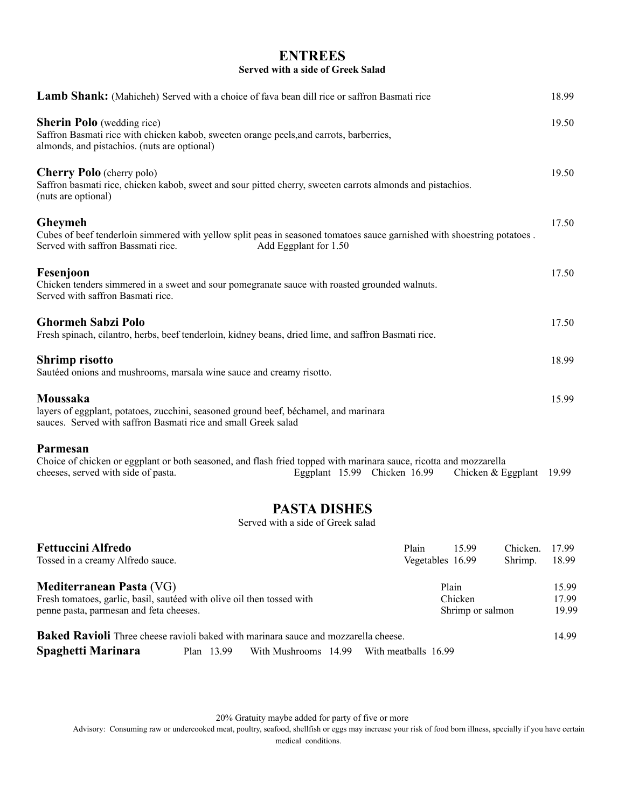### **ENTREES Served with a side of Greek Salad**

| Lamb Shank: (Mahicheh) Served with a choice of fava bean dill rice or saffron Basmati rice                                                                                                                                          | 18.99 |
|-------------------------------------------------------------------------------------------------------------------------------------------------------------------------------------------------------------------------------------|-------|
| <b>Sherin Polo</b> (wedding rice)<br>Saffron Basmati rice with chicken kabob, sweeten orange peels, and carrots, barberries,<br>almonds, and pistachios. (nuts are optional)                                                        | 19.50 |
| <b>Cherry Polo</b> (cherry polo)<br>Saffron basmati rice, chicken kabob, sweet and sour pitted cherry, sweeten carrots almonds and pistachios.<br>(nuts are optional)                                                               | 19.50 |
| Gheymeh<br>Cubes of beef tenderloin simmered with yellow split peas in seasoned tomatoes sauce garnished with shoestring potatoes.<br>Served with saffron Bassmati rice.<br>Add Eggplant for 1.50                                   | 17.50 |
| Fesenjoon<br>Chicken tenders simmered in a sweet and sour pomegranate sauce with roasted grounded walnuts.<br>Served with saffron Basmati rice.                                                                                     | 17.50 |
| <b>Ghormeh Sabzi Polo</b><br>Fresh spinach, cilantro, herbs, beef tenderloin, kidney beans, dried lime, and saffron Basmati rice.                                                                                                   | 17.50 |
| <b>Shrimp risotto</b><br>Sautéed onions and mushrooms, marsala wine sauce and creamy risotto.                                                                                                                                       | 18.99 |
| Moussaka<br>layers of eggplant, potatoes, zucchini, seasoned ground beef, béchamel, and marinara<br>sauces. Served with saffron Basmati rice and small Greek salad                                                                  | 15.99 |
| Parmesan<br>Choice of chicken or eggplant or both seasoned, and flash fried topped with marinara sauce, ricotta and mozzarella<br>Eggplant 15.99 Chicken 16.99<br>cheeses, served with side of pasta.<br>Chicken & Eggplant $19.99$ |       |

# **PASTA DISHES**

Served with a side of Greek salad

| <b>Fettuccini Alfredo</b>                                                                  |                      |  | Plain                |         | 15.99   | Chicken. | 17.99 |
|--------------------------------------------------------------------------------------------|----------------------|--|----------------------|---------|---------|----------|-------|
| Tossed in a creamy Alfredo sauce.                                                          |                      |  | Vegetables 16.99     | Shrimp. | 18.99   |          |       |
| <b>Mediterranean Pasta (VG)</b>                                                            |                      |  |                      |         | Plain   |          | 15.99 |
| Fresh tomatoes, garlic, basil, sautéed with olive oil then tossed with                     |                      |  |                      |         | Chicken |          |       |
| penne pasta, parmesan and feta cheeses.<br>Shrimp or salmon                                |                      |  |                      |         |         | 19.99    |       |
| <b>Baked Ravioli</b> Three cheese ravioli baked with marinara sauce and mozzarella cheese. |                      |  |                      |         |         |          | 14.99 |
| Spaghetti Marinara<br>Plan 13.99                                                           | With Mushrooms 14.99 |  | With meatballs 16.99 |         |         |          |       |

20% Gratuity maybe added for party of five or more

 Advisory: Consuming raw or undercooked meat, poultry, seafood, shellfish or eggs may increase your risk of food born illness, specially if you have certain medical conditions.